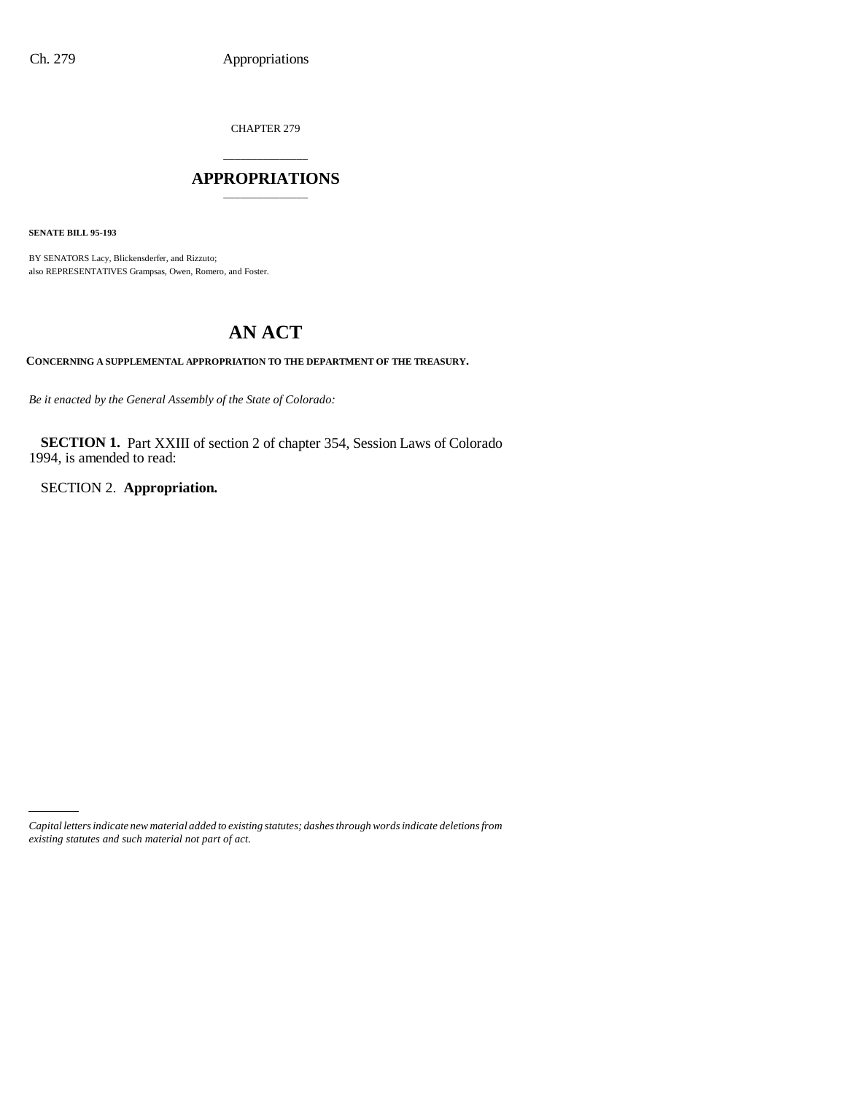CHAPTER 279

## \_\_\_\_\_\_\_\_\_\_\_\_\_\_\_ **APPROPRIATIONS** \_\_\_\_\_\_\_\_\_\_\_\_\_\_\_

**SENATE BILL 95-193**

BY SENATORS Lacy, Blickensderfer, and Rizzuto; also REPRESENTATIVES Grampsas, Owen, Romero, and Foster.

# **AN ACT**

**CONCERNING A SUPPLEMENTAL APPROPRIATION TO THE DEPARTMENT OF THE TREASURY.**

*Be it enacted by the General Assembly of the State of Colorado:*

**SECTION 1.** Part XXIII of section 2 of chapter 354, Session Laws of Colorado 1994, is amended to read:

SECTION 2. **Appropriation.**

*Capital letters indicate new material added to existing statutes; dashes through words indicate deletions from existing statutes and such material not part of act.*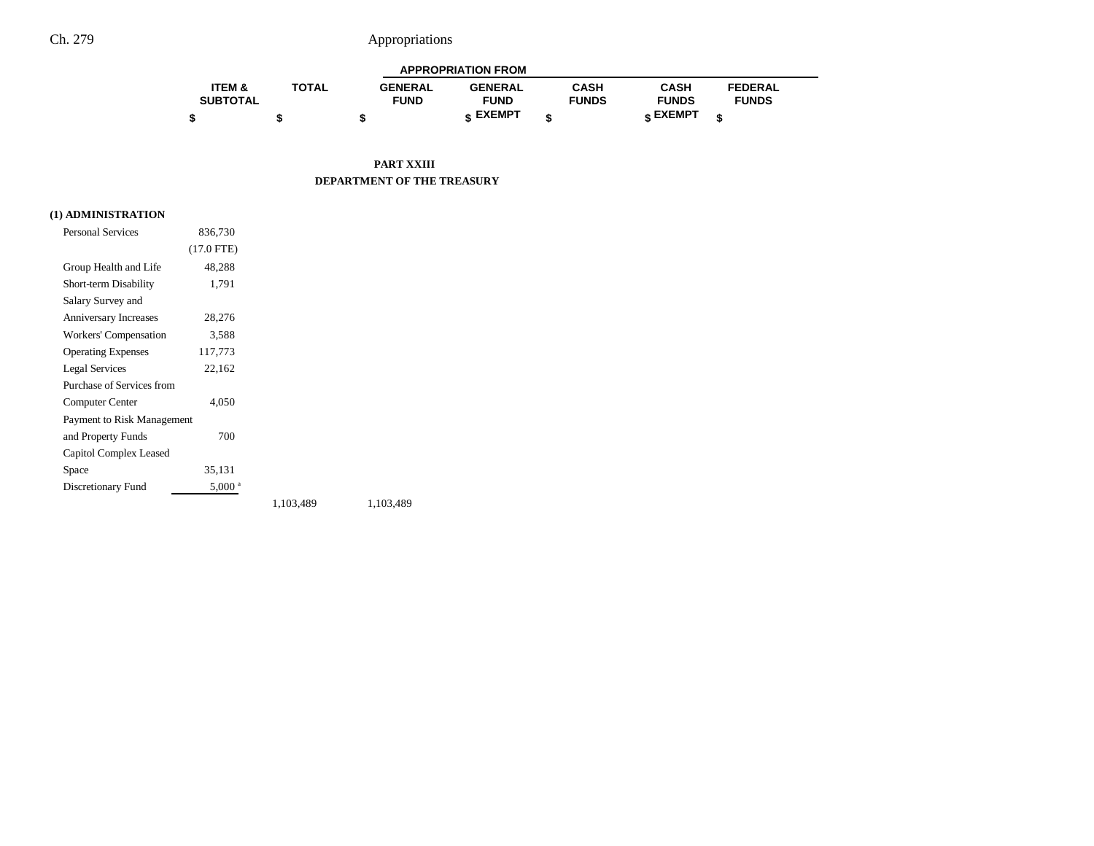# Ch. 279 Appropriations

| <b>APPROPRIATION FROM</b> |              |                |                 |              |              |                |  |
|---------------------------|--------------|----------------|-----------------|--------------|--------------|----------------|--|
| <b>ITEM &amp;</b>         | <b>TOTAL</b> | <b>GENERAL</b> | <b>GENERAL</b>  | CASH         | CASH         | <b>FEDERAL</b> |  |
| <b>SUBTOTAL</b>           |              | <b>FUND</b>    | <b>FUND</b>     | <b>FUNDS</b> | <b>FUNDS</b> | <b>FUNDS</b>   |  |
|                           |              |                | <b>« EXEMPT</b> |              | e EXEMPT ہ   |                |  |

**PART XXIII DEPARTMENT OF THE TREASURY**

### **(1) ADMINISTRATION**

| <b>Personal Services</b>     | 836,730              |           |           |
|------------------------------|----------------------|-----------|-----------|
|                              | $(17.0$ FTE)         |           |           |
| Group Health and Life        | 48,288               |           |           |
| Short-term Disability        | 1,791                |           |           |
| Salary Survey and            |                      |           |           |
| <b>Anniversary Increases</b> | 28,276               |           |           |
| Workers' Compensation        | 3,588                |           |           |
| <b>Operating Expenses</b>    | 117,773              |           |           |
| <b>Legal Services</b>        | 22,162               |           |           |
| Purchase of Services from    |                      |           |           |
| Computer Center              | 4,050                |           |           |
| Payment to Risk Management   |                      |           |           |
| and Property Funds           | 700                  |           |           |
| Capitol Complex Leased       |                      |           |           |
| Space                        | 35,131               |           |           |
| Discretionary Fund           | $5,000$ <sup>a</sup> |           |           |
|                              |                      | 1,103,489 | 1,103,489 |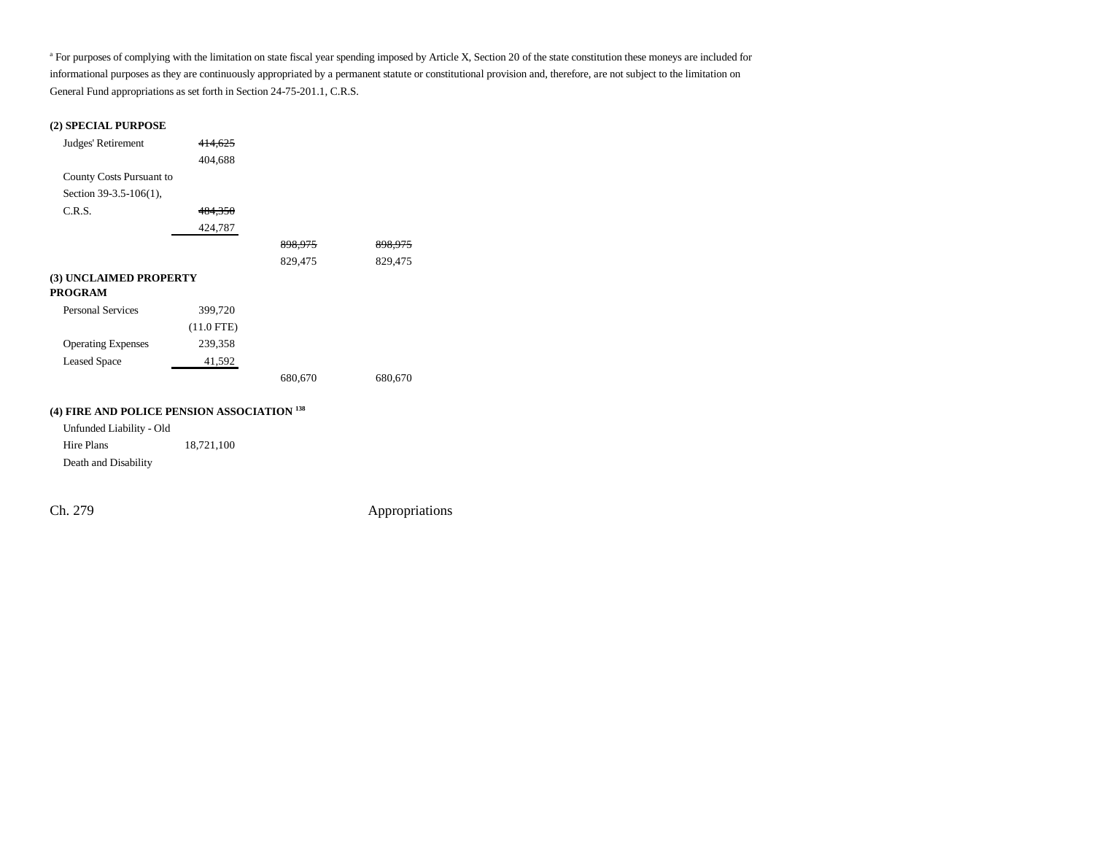<sup>a</sup> For purposes of complying with the limitation on state fiscal year spending imposed by Article X, Section 20 of the state constitution these moneys are included for informational purposes as they are continuously appropriated by a permanent statute or constitutional provision and, therefore, are not subject to the limitation on General Fund appropriations as set forth in Section 24-75-201.1, C.R.S.

#### **(2) SPECIAL PURPOSE**

| Judges' Retirement        | 414,625      |         |         |
|---------------------------|--------------|---------|---------|
|                           | 404,688      |         |         |
| County Costs Pursuant to  |              |         |         |
| Section $39-3.5-106(1)$ , |              |         |         |
| C.R.S.                    | 484,350      |         |         |
|                           | 424,787      |         |         |
|                           |              | 898,975 | 898,975 |
|                           |              | 829,475 | 829,475 |
| (3) UNCLAIMED PROPERTY    |              |         |         |
| PROGRAM                   |              |         |         |
| <b>Personal Services</b>  | 399,720      |         |         |
|                           | $(11.0$ FTE) |         |         |
| <b>Operating Expenses</b> | 239,358      |         |         |
| <b>Leased Space</b>       | 41,592       |         |         |
|                           |              | 680,670 | 680,670 |
|                           |              |         |         |

#### **(4) FIRE AND POLICE PENSION ASSOCIATION 138**

Unfunded Liability - Old Hire Plans 18,721,100 Death and Disability

Ch. 279 Appropriations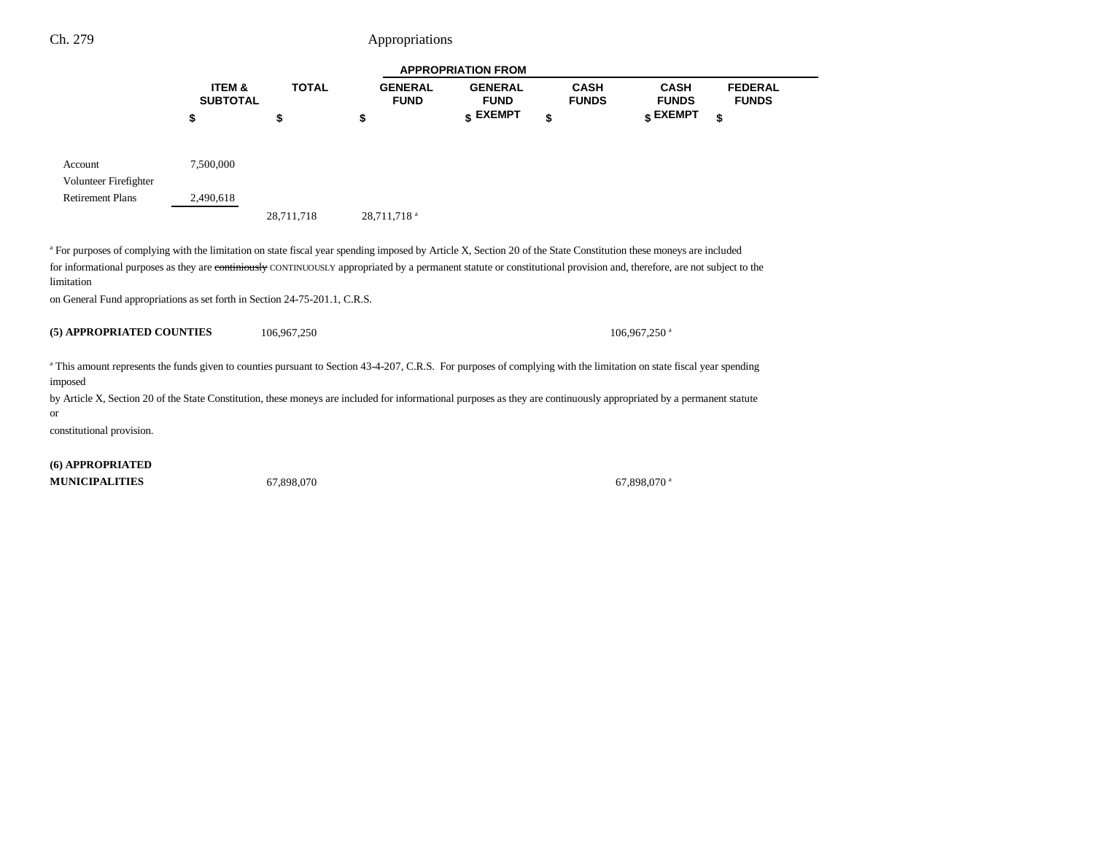# Ch. 279 Appropriations

|                                                                                                                                                                                                                                                                     | <b>APPROPRIATION FROM</b> |              |                               |                               |                             |                             |                                |
|---------------------------------------------------------------------------------------------------------------------------------------------------------------------------------------------------------------------------------------------------------------------|---------------------------|--------------|-------------------------------|-------------------------------|-----------------------------|-----------------------------|--------------------------------|
|                                                                                                                                                                                                                                                                     | ITEM &<br><b>SUBTOTAL</b> | <b>TOTAL</b> | <b>GENERAL</b><br><b>FUND</b> | <b>GENERAL</b><br><b>FUND</b> | <b>CASH</b><br><b>FUNDS</b> | <b>CASH</b><br><b>FUNDS</b> | <b>FEDERAL</b><br><b>FUNDS</b> |
|                                                                                                                                                                                                                                                                     | \$                        | \$           | \$                            | \$ EXEMPT                     | \$                          | \$ EXEMPT                   | \$                             |
| Account                                                                                                                                                                                                                                                             | 7,500,000                 |              |                               |                               |                             |                             |                                |
| Volunteer Firefighter                                                                                                                                                                                                                                               |                           |              |                               |                               |                             |                             |                                |
| <b>Retirement Plans</b>                                                                                                                                                                                                                                             | 2,490,618                 |              |                               |                               |                             |                             |                                |
|                                                                                                                                                                                                                                                                     |                           | 28,711,718   | 28,711,718 <sup>a</sup>       |                               |                             |                             |                                |
| for informational purposes as they are continiously CONTINUOUSLY appropriated by a permanent statute or constitutional provision and, therefore, are not subject to the<br>limitation<br>on General Fund appropriations as set forth in Section 24-75-201.1, C.R.S. |                           |              |                               |                               |                             |                             |                                |
| (5) APPROPRIATED COUNTIES                                                                                                                                                                                                                                           |                           | 106.967.250  |                               |                               |                             | $106.967.250$ <sup>a</sup>  |                                |
| a This amount represents the funds given to counties pursuant to Section 43-4-207, C.R.S. For purposes of complying with the limitation on state fiscal year spending<br>imposed                                                                                    |                           |              |                               |                               |                             |                             |                                |
| by Article X, Section 20 of the State Constitution, these moneys are included for informational purposes as they are continuously appropriated by a permanent statute<br><b>or</b>                                                                                  |                           |              |                               |                               |                             |                             |                                |
| constitutional provision.                                                                                                                                                                                                                                           |                           |              |                               |                               |                             |                             |                                |

**(6) APPROPRIATED MUNICIPALITIES**

67,898,070 67,898,070 a